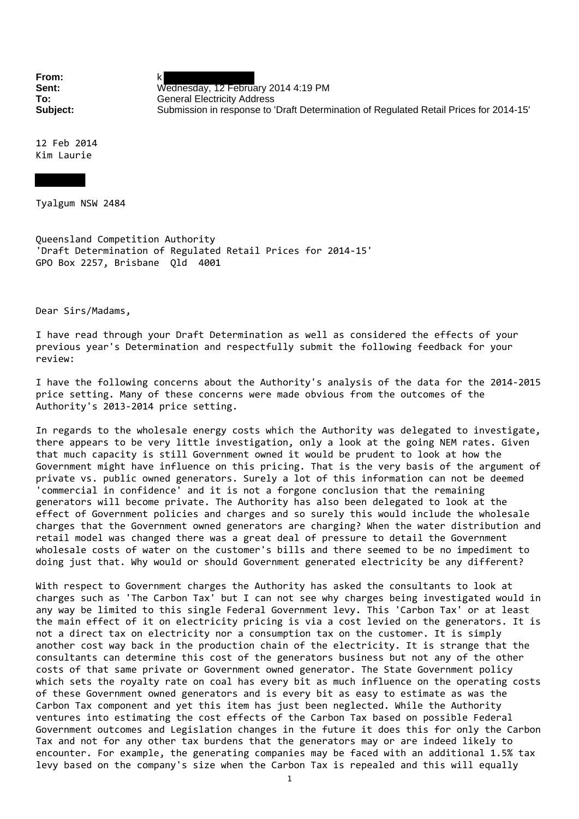**From:** k

**Sent:** Wednesday, 12 February 2014 4:19 PM **To:** General Electricity Address **Subject:** Submission in response to 'Draft Determination of Regulated Retail Prices for 2014-15'

12 Feb 2014 Kim Laurie

Tyalgum NSW 2484

Queensland Competition Authority 'Draft Determination of Regulated Retail Prices for 2014‐15' GPO Box 2257, Brisbane Qld 4001

Dear Sirs/Madams,

I have read through your Draft Determination as well as considered the effects of your previous year's Determination and respectfully submit the following feedback for your review:

I have the following concerns about the Authority's analysis of the data for the 2014‐2015 price setting. Many of these concerns were made obvious from the outcomes of the Authority's 2013‐2014 price setting.

In regards to the wholesale energy costs which the Authority was delegated to investigate, there appears to be very little investigation, only a look at the going NEM rates. Given that much capacity is still Government owned it would be prudent to look at how the Government might have influence on this pricing. That is the very basis of the argument of private vs. public owned generators. Surely a lot of this information can not be deemed 'commercial in confidence' and it is not a forgone conclusion that the remaining generators will become private. The Authority has also been delegated to look at the effect of Government policies and charges and so surely this would include the wholesale charges that the Government owned generators are charging? When the water distribution and retail model was changed there was a great deal of pressure to detail the Government wholesale costs of water on the customer's bills and there seemed to be no impediment to doing just that. Why would or should Government generated electricity be any different?

With respect to Government charges the Authority has asked the consultants to look at charges such as 'The Carbon Tax' but I can not see why charges being investigated would in any way be limited to this single Federal Government levy. This 'Carbon Tax' or at least the main effect of it on electricity pricing is via a cost levied on the generators. It is not a direct tax on electricity nor a consumption tax on the customer. It is simply another cost way back in the production chain of the electricity. It is strange that the consultants can determine this cost of the generators business but not any of the other costs of that same private or Government owned generator. The State Government policy which sets the royalty rate on coal has every bit as much influence on the operating costs of these Government owned generators and is every bit as easy to estimate as was the Carbon Tax component and yet this item has just been neglected. While the Authority ventures into estimating the cost effects of the Carbon Tax based on possible Federal Government outcomes and Legislation changes in the future it does this for only the Carbon Tax and not for any other tax burdens that the generators may or are indeed likely to encounter. For example, the generating companies may be faced with an additional 1.5% tax levy based on the company's size when the Carbon Tax is repealed and this will equally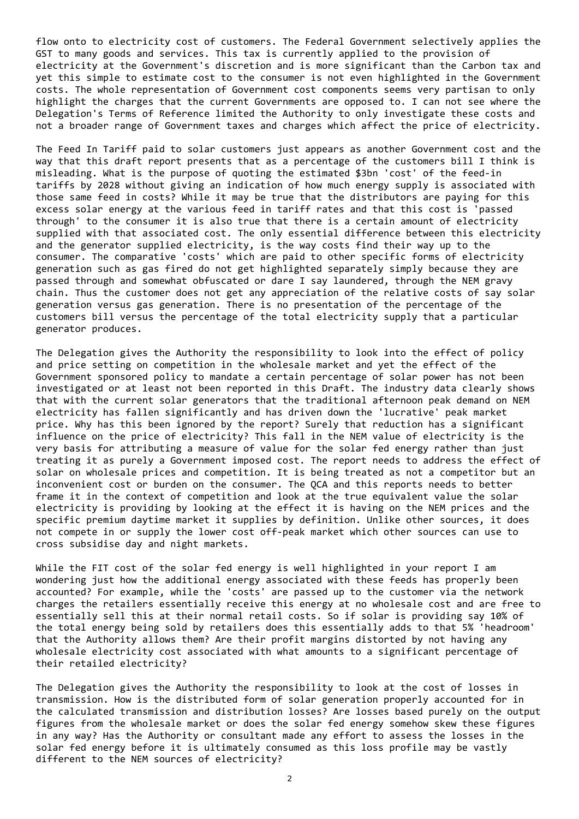flow onto to electricity cost of customers. The Federal Government selectively applies the GST to many goods and services. This tax is currently applied to the provision of electricity at the Government's discretion and is more significant than the Carbon tax and yet this simple to estimate cost to the consumer is not even highlighted in the Government costs. The whole representation of Government cost components seems very partisan to only highlight the charges that the current Governments are opposed to. I can not see where the Delegation's Terms of Reference limited the Authority to only investigate these costs and not a broader range of Government taxes and charges which affect the price of electricity.

The Feed In Tariff paid to solar customers just appears as another Government cost and the way that this draft report presents that as a percentage of the customers bill I think is misleading. What is the purpose of quoting the estimated \$3bn 'cost' of the feed‐in tariffs by 2028 without giving an indication of how much energy supply is associated with those same feed in costs? While it may be true that the distributors are paying for this excess solar energy at the various feed in tariff rates and that this cost is 'passed through' to the consumer it is also true that there is a certain amount of electricity supplied with that associated cost. The only essential difference between this electricity and the generator supplied electricity, is the way costs find their way up to the consumer. The comparative 'costs' which are paid to other specific forms of electricity generation such as gas fired do not get highlighted separately simply because they are passed through and somewhat obfuscated or dare I say laundered, through the NEM gravy chain. Thus the customer does not get any appreciation of the relative costs of say solar generation versus gas generation. There is no presentation of the percentage of the customers bill versus the percentage of the total electricity supply that a particular generator produces.

The Delegation gives the Authority the responsibility to look into the effect of policy and price setting on competition in the wholesale market and yet the effect of the Government sponsored policy to mandate a certain percentage of solar power has not been investigated or at least not been reported in this Draft. The industry data clearly shows that with the current solar generators that the traditional afternoon peak demand on NEM electricity has fallen significantly and has driven down the 'lucrative' peak market price. Why has this been ignored by the report? Surely that reduction has a significant influence on the price of electricity? This fall in the NEM value of electricity is the very basis for attributing a measure of value for the solar fed energy rather than just treating it as purely a Government imposed cost. The report needs to address the effect of solar on wholesale prices and competition. It is being treated as not a competitor but an inconvenient cost or burden on the consumer. The QCA and this reports needs to better frame it in the context of competition and look at the true equivalent value the solar electricity is providing by looking at the effect it is having on the NEM prices and the specific premium daytime market it supplies by definition. Unlike other sources, it does not compete in or supply the lower cost off-peak market which other sources can use to cross subsidise day and night markets.

While the FIT cost of the solar fed energy is well highlighted in your report I am wondering just how the additional energy associated with these feeds has properly been accounted? For example, while the 'costs' are passed up to the customer via the network charges the retailers essentially receive this energy at no wholesale cost and are free to essentially sell this at their normal retail costs. So if solar is providing say 10% of the total energy being sold by retailers does this essentially adds to that 5% 'headroom' that the Authority allows them? Are their profit margins distorted by not having any wholesale electricity cost associated with what amounts to a significant percentage of their retailed electricity?

The Delegation gives the Authority the responsibility to look at the cost of losses in transmission. How is the distributed form of solar generation properly accounted for in the calculated transmission and distribution losses? Are losses based purely on the output figures from the wholesale market or does the solar fed energy somehow skew these figures in any way? Has the Authority or consultant made any effort to assess the losses in the solar fed energy before it is ultimately consumed as this loss profile may be vastly different to the NEM sources of electricity?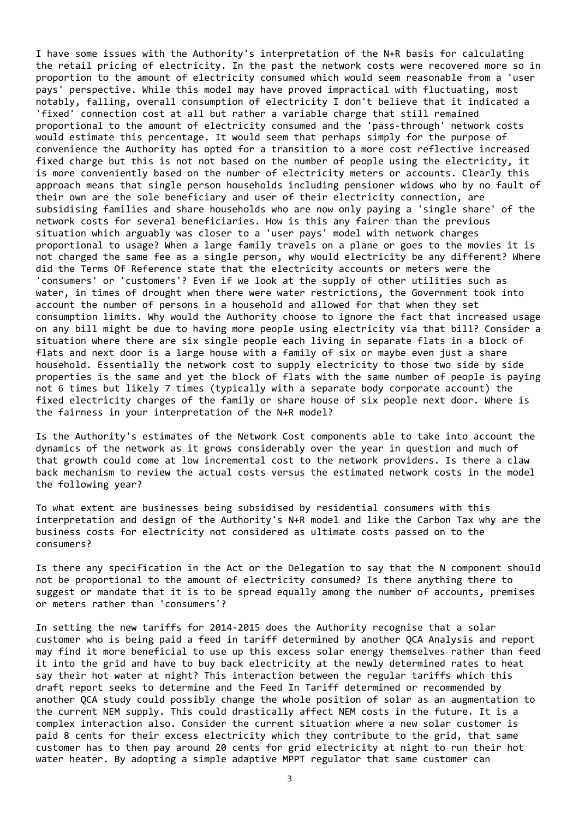I have some issues with the Authority's interpretation of the N+R basis for calculating the retail pricing of electricity. In the past the network costs were recovered more so in proportion to the amount of electricity consumed which would seem reasonable from a 'user pays' perspective. While this model may have proved impractical with fluctuating, most notably, falling, overall consumption of electricity I don't believe that it indicated a 'fixed' connection cost at all but rather a variable charge that still remained proportional to the amount of electricity consumed and the 'pass-through' network costs would estimate this percentage. It would seem that perhaps simply for the purpose of convenience the Authority has opted for a transition to a more cost reflective increased fixed charge but this is not not based on the number of people using the electricity, it is more conveniently based on the number of electricity meters or accounts. Clearly this approach means that single person households including pensioner widows who by no fault of their own are the sole beneficiary and user of their electricity connection, are subsidising families and share households who are now only paying a 'single share' of the network costs for several beneficiaries. How is this any fairer than the previous situation which arguably was closer to a 'user pays' model with network charges proportional to usage? When a large family travels on a plane or goes to the movies it is not charged the same fee as a single person, why would electricity be any different? Where did the Terms Of Reference state that the electricity accounts or meters were the 'consumers' or 'customers'? Even if we look at the supply of other utilities such as water, in times of drought when there were water restrictions, the Government took into account the number of persons in a household and allowed for that when they set consumption limits. Why would the Authority choose to ignore the fact that increased usage on any bill might be due to having more people using electricity via that bill? Consider a situation where there are six single people each living in separate flats in a block of flats and next door is a large house with a family of six or maybe even just a share household. Essentially the network cost to supply electricity to those two side by side properties is the same and yet the block of flats with the same number of people is paying not 6 times but likely 7 times (typically with a separate body corporate account) the fixed electricity charges of the family or share house of six people next door. Where is the fairness in your interpretation of the N+R model?

Is the Authority's estimates of the Network Cost components able to take into account the dynamics of the network as it grows considerably over the year in question and much of that growth could come at low incremental cost to the network providers. Is there a claw back mechanism to review the actual costs versus the estimated network costs in the model the following year?

To what extent are businesses being subsidised by residential consumers with this interpretation and design of the Authority's N+R model and like the Carbon Tax why are the business costs for electricity not considered as ultimate costs passed on to the consumers?

Is there any specification in the Act or the Delegation to say that the N component should not be proportional to the amount of electricity consumed? Is there anything there to suggest or mandate that it is to be spread equally among the number of accounts, premises or meters rather than 'consumers'?

In setting the new tariffs for 2014‐2015 does the Authority recognise that a solar customer who is being paid a feed in tariff determined by another QCA Analysis and report may find it more beneficial to use up this excess solar energy themselves rather than feed it into the grid and have to buy back electricity at the newly determined rates to heat say their hot water at night? This interaction between the regular tariffs which this draft report seeks to determine and the Feed In Tariff determined or recommended by another QCA study could possibly change the whole position of solar as an augmentation to the current NEM supply. This could drastically affect NEM costs in the future. It is a complex interaction also. Consider the current situation where a new solar customer is paid 8 cents for their excess electricity which they contribute to the grid, that same customer has to then pay around 20 cents for grid electricity at night to run their hot water heater. By adopting a simple adaptive MPPT regulator that same customer can